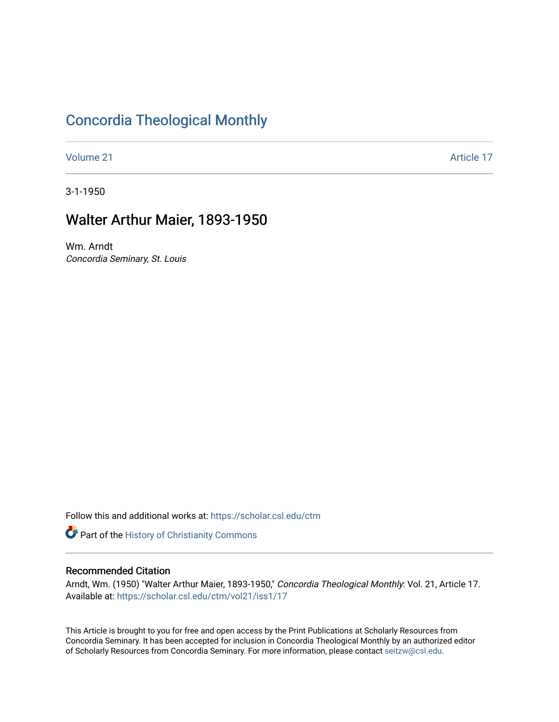## [Concordia Theological Monthly](https://scholar.csl.edu/ctm)

[Volume 21](https://scholar.csl.edu/ctm/vol21) Article 17

3-1-1950

## Walter Arthur Maier, 1893-1950

Wm. Arndt Concordia Seminary, St. Louis

Follow this and additional works at: [https://scholar.csl.edu/ctm](https://scholar.csl.edu/ctm?utm_source=scholar.csl.edu%2Fctm%2Fvol21%2Fiss1%2F17&utm_medium=PDF&utm_campaign=PDFCoverPages)

Part of the [History of Christianity Commons](http://network.bepress.com/hgg/discipline/1182?utm_source=scholar.csl.edu%2Fctm%2Fvol21%2Fiss1%2F17&utm_medium=PDF&utm_campaign=PDFCoverPages) 

### Recommended Citation

Arndt, Wm. (1950) "Walter Arthur Maier, 1893-1950," Concordia Theological Monthly: Vol. 21, Article 17. Available at: [https://scholar.csl.edu/ctm/vol21/iss1/17](https://scholar.csl.edu/ctm/vol21/iss1/17?utm_source=scholar.csl.edu%2Fctm%2Fvol21%2Fiss1%2F17&utm_medium=PDF&utm_campaign=PDFCoverPages) 

This Article is brought to you for free and open access by the Print Publications at Scholarly Resources from Concordia Seminary. It has been accepted for inclusion in Concordia Theological Monthly by an authorized editor of Scholarly Resources from Concordia Seminary. For more information, please contact [seitzw@csl.edu](mailto:seitzw@csl.edu).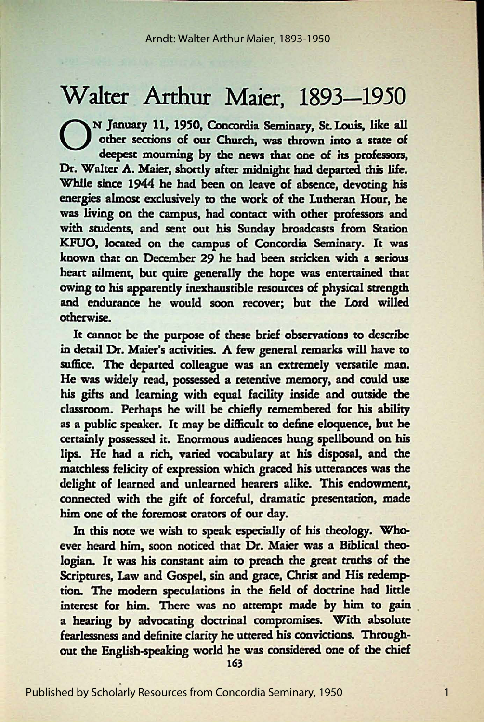# Walter Arthur Maier, 1893-1950

ON January 11, 1950, Concordia Seminary, *St.* Louis, like all other sections of our Church, was thrown into a state of deepest mourning by the news that one of its professors, Dr. Walter A. Maier, shortly after midnight had departed this life. While since 1944 he had been on leave of **absence,** devoting his energies almost exclusively to the work of the Lutheran Hour, he was living on the campus, had contact with other professors and with students, and sent out his Sunday broadcasts from Station KFUO, located on the campus of Concordia Seminary. It was known that on December 29 he had been stricken with a serious heart ailment, but quite generally the hope was entertained that owing to his apparently inexhaustible resources of physical strength and endurance he would soon recover; but the Lord willed otherwise.

It cannot be the purpose of these brief observations to describe in detail Dr. Maier's activities. A few general remarks will have to suffice. The departed colleague was an extremely versatile man. He was widely read, possessed a retentive memory, and could use his gifts and learning with equal facility **inside** and outside the classroom. Perhaps he will be chiefiy remembered for his ability as a public speaker. It may be difficult to define eloquence, but he certainly possessed it. Enormous audiences hung spellbound on his lips. He had a rich, varied vocabulary at his disposal, and the matchless felicity of expression which graced his utterances was the delight of learned and unlearned hearers alike. This endowment, connected with the gift of forceful, dramatic presentation, made him one of the foremost orators of our day.

In this note we wish to speak especially of his theology. Whoever heard him, soon noticed that Dr. Maier was a Biblical theologian. It was his constant aim to preach the great truths of the Scriptures, Law and Gospel, sin and grace, Christ and His redemption. The modern speculations in the field of doctrine had little interest for him. There was no attempt made by him to gain . a hearing by advocating doctrinal compromises. With absolute fearlessness and definite clarity he uttered his convictions. Throughout the English-speaking world he was considered one of the chief

163

1